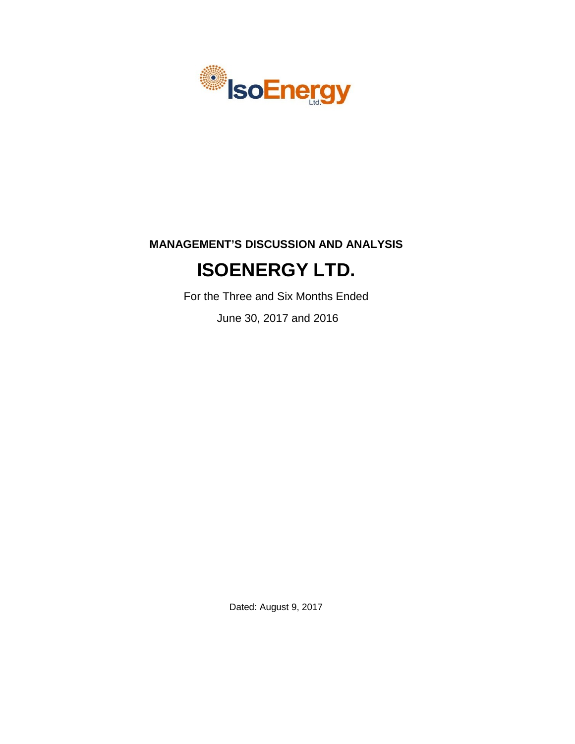

# **MANAGEMENT'S DISCUSSION AND ANALYSIS**

# **ISOENERGY LTD.**

For the Three and Six Months Ended

June 30, 2017 and 2016

Dated: August 9, 2017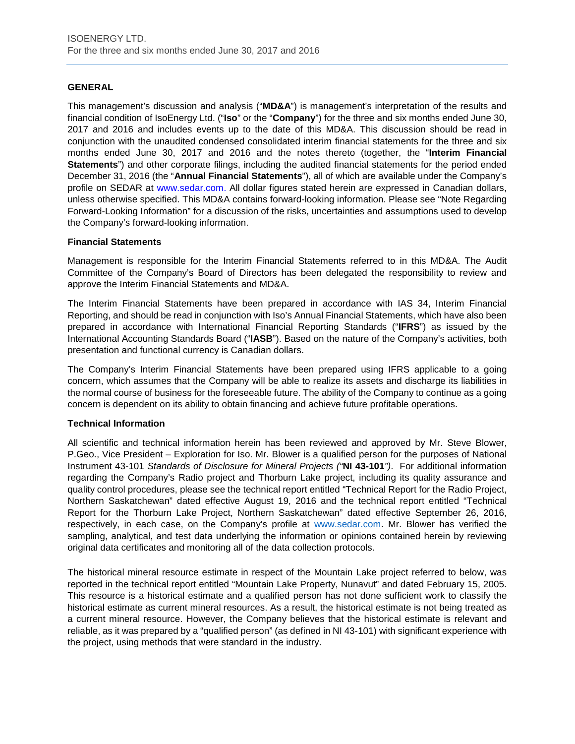# **GENERAL**

This management's discussion and analysis ("**MD&A**") is management's interpretation of the results and financial condition of IsoEnergy Ltd. ("**Iso**" or the "**Company**") for the three and six months ended June 30, 2017 and 2016 and includes events up to the date of this MD&A. This discussion should be read in conjunction with the unaudited condensed consolidated interim financial statements for the three and six months ended June 30, 2017 and 2016 and the notes thereto (together, the "**Interim Financial Statements**") and other corporate filings, including the audited financial statements for the period ended December 31, 2016 (the "**Annual Financial Statements**"), all of which are available under the Company's profile on SEDAR at www.sedar.com. All dollar figures stated herein are expressed in Canadian dollars, unless otherwise specified. This MD&A contains forward-looking information. Please see "Note Regarding Forward-Looking Information" for a discussion of the risks, uncertainties and assumptions used to develop the Company's forward-looking information.

# **Financial Statements**

Management is responsible for the Interim Financial Statements referred to in this MD&A. The Audit Committee of the Company's Board of Directors has been delegated the responsibility to review and approve the Interim Financial Statements and MD&A.

The Interim Financial Statements have been prepared in accordance with IAS 34, Interim Financial Reporting, and should be read in conjunction with Iso's Annual Financial Statements, which have also been prepared in accordance with International Financial Reporting Standards ("**IFRS**") as issued by the International Accounting Standards Board ("**IASB**"). Based on the nature of the Company's activities, both presentation and functional currency is Canadian dollars.

The Company's Interim Financial Statements have been prepared using IFRS applicable to a going concern, which assumes that the Company will be able to realize its assets and discharge its liabilities in the normal course of business for the foreseeable future. The ability of the Company to continue as a going concern is dependent on its ability to obtain financing and achieve future profitable operations.

# **Technical Information**

All scientific and technical information herein has been reviewed and approved by Mr. Steve Blower, P.Geo., Vice President – Exploration for Iso. Mr. Blower is a qualified person for the purposes of National Instrument 43-101 *Standards of Disclosure for Mineral Projects ("***NI 43-101***")*. For additional information regarding the Company's Radio project and Thorburn Lake project, including its quality assurance and quality control procedures, please see the technical report entitled "Technical Report for the Radio Project, Northern Saskatchewan" dated effective August 19, 2016 and the technical report entitled "Technical Report for the Thorburn Lake Project, Northern Saskatchewan" dated effective September 26, 2016, respectively, in each case, on the Company's profile at [www.sedar.com.](http://www.sedar.com/) Mr. Blower has verified the sampling, analytical, and test data underlying the information or opinions contained herein by reviewing original data certificates and monitoring all of the data collection protocols.

The historical mineral resource estimate in respect of the Mountain Lake project referred to below, was reported in the technical report entitled "Mountain Lake Property, Nunavut" and dated February 15, 2005. This resource is a historical estimate and a qualified person has not done sufficient work to classify the historical estimate as current mineral resources. As a result, the historical estimate is not being treated as a current mineral resource. However, the Company believes that the historical estimate is relevant and reliable, as it was prepared by a "qualified person" (as defined in NI 43-101) with significant experience with the project, using methods that were standard in the industry.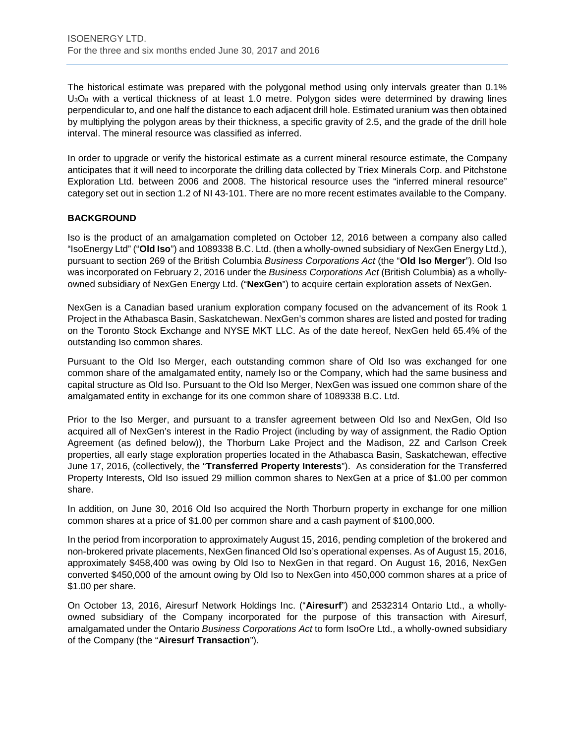The historical estimate was prepared with the polygonal method using only intervals greater than 0.1%  $U_3O_8$  with a vertical thickness of at least 1.0 metre. Polygon sides were determined by drawing lines perpendicular to, and one half the distance to each adjacent drill hole. Estimated uranium was then obtained by multiplying the polygon areas by their thickness, a specific gravity of 2.5, and the grade of the drill hole interval. The mineral resource was classified as inferred.

In order to upgrade or verify the historical estimate as a current mineral resource estimate, the Company anticipates that it will need to incorporate the drilling data collected by Triex Minerals Corp. and Pitchstone Exploration Ltd. between 2006 and 2008. The historical resource uses the "inferred mineral resource" category set out in section 1.2 of NI 43-101. There are no more recent estimates available to the Company.

# **BACKGROUND**

Iso is the product of an amalgamation completed on October 12, 2016 between a company also called "IsoEnergy Ltd" ("**Old Iso**") and 1089338 B.C. Ltd. (then a wholly-owned subsidiary of NexGen Energy Ltd.), pursuant to section 269 of the British Columbia *Business Corporations Act* (the "**Old Iso Merger**"). Old Iso was incorporated on February 2, 2016 under the *Business Corporations Act* (British Columbia) as a whollyowned subsidiary of NexGen Energy Ltd. ("**NexGen**") to acquire certain exploration assets of NexGen.

NexGen is a Canadian based uranium exploration company focused on the advancement of its Rook 1 Project in the Athabasca Basin, Saskatchewan. NexGen's common shares are listed and posted for trading on the Toronto Stock Exchange and NYSE MKT LLC. As of the date hereof, NexGen held 65.4% of the outstanding Iso common shares.

Pursuant to the Old Iso Merger, each outstanding common share of Old Iso was exchanged for one common share of the amalgamated entity, namely Iso or the Company, which had the same business and capital structure as Old Iso. Pursuant to the Old Iso Merger, NexGen was issued one common share of the amalgamated entity in exchange for its one common share of 1089338 B.C. Ltd.

Prior to the Iso Merger, and pursuant to a transfer agreement between Old Iso and NexGen, Old Iso acquired all of NexGen's interest in the Radio Project (including by way of assignment, the Radio Option Agreement (as defined below)), the Thorburn Lake Project and the Madison, 2Z and Carlson Creek properties, all early stage exploration properties located in the Athabasca Basin, Saskatchewan, effective June 17, 2016, (collectively, the "**Transferred Property Interests**"). As consideration for the Transferred Property Interests, Old Iso issued 29 million common shares to NexGen at a price of \$1.00 per common share.

In addition, on June 30, 2016 Old Iso acquired the North Thorburn property in exchange for one million common shares at a price of \$1.00 per common share and a cash payment of \$100,000.

In the period from incorporation to approximately August 15, 2016, pending completion of the brokered and non-brokered private placements, NexGen financed Old Iso's operational expenses. As of August 15, 2016, approximately \$458,400 was owing by Old Iso to NexGen in that regard. On August 16, 2016, NexGen converted \$450,000 of the amount owing by Old Iso to NexGen into 450,000 common shares at a price of \$1.00 per share.

On October 13, 2016, Airesurf Network Holdings Inc. ("**Airesurf**") and 2532314 Ontario Ltd., a whollyowned subsidiary of the Company incorporated for the purpose of this transaction with Airesurf, amalgamated under the Ontario *Business Corporations Act* to form IsoOre Ltd., a wholly-owned subsidiary of the Company (the "**Airesurf Transaction**").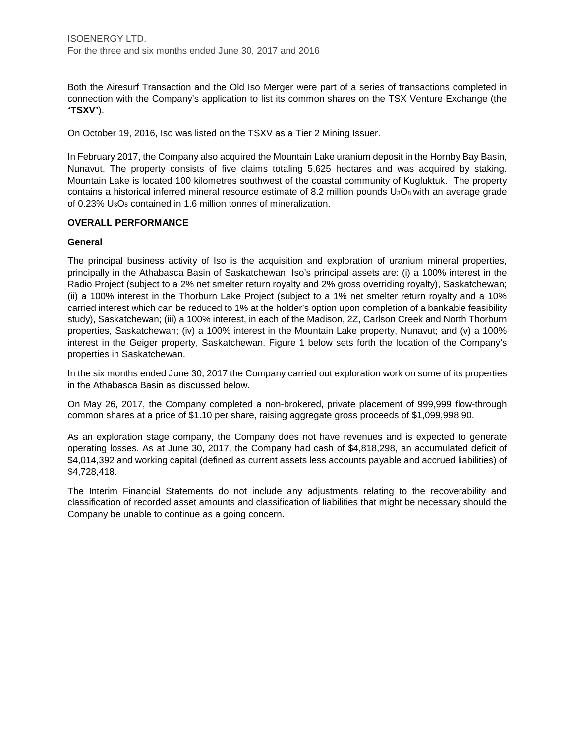Both the Airesurf Transaction and the Old Iso Merger were part of a series of transactions completed in connection with the Company's application to list its common shares on the TSX Venture Exchange (the "**TSXV**").

On October 19, 2016, Iso was listed on the TSXV as a Tier 2 Mining Issuer.

In February 2017, the Company also acquired the Mountain Lake uranium deposit in the Hornby Bay Basin, Nunavut. The property consists of five claims totaling 5,625 hectares and was acquired by staking. Mountain Lake is located 100 kilometres southwest of the coastal community of Kugluktuk. The property contains a historical inferred mineral resource estimate of 8.2 million pounds  $U_3O_8$  with an average grade of 0.23% U3O8 contained in 1.6 million tonnes of mineralization.

# **OVERALL PERFORMANCE**

# **General**

The principal business activity of Iso is the acquisition and exploration of uranium mineral properties, principally in the Athabasca Basin of Saskatchewan. Iso's principal assets are: (i) a 100% interest in the Radio Project (subject to a 2% net smelter return royalty and 2% gross overriding royalty), Saskatchewan; (ii) a 100% interest in the Thorburn Lake Project (subject to a 1% net smelter return royalty and a 10% carried interest which can be reduced to 1% at the holder's option upon completion of a bankable feasibility study), Saskatchewan; (iii) a 100% interest, in each of the Madison, 2Z, Carlson Creek and North Thorburn properties, Saskatchewan; (iv) a 100% interest in the Mountain Lake property, Nunavut; and (v) a 100% interest in the Geiger property, Saskatchewan. Figure 1 below sets forth the location of the Company's properties in Saskatchewan.

In the six months ended June 30, 2017 the Company carried out exploration work on some of its properties in the Athabasca Basin as discussed below.

On May 26, 2017, the Company completed a non-brokered, private placement of 999,999 flow-through common shares at a price of \$1.10 per share, raising aggregate gross proceeds of \$1,099,998.90.

As an exploration stage company, the Company does not have revenues and is expected to generate operating losses. As at June 30, 2017, the Company had cash of \$4,818,298, an accumulated deficit of \$4,014,392 and working capital (defined as current assets less accounts payable and accrued liabilities) of \$4,728,418.

The Interim Financial Statements do not include any adjustments relating to the recoverability and classification of recorded asset amounts and classification of liabilities that might be necessary should the Company be unable to continue as a going concern.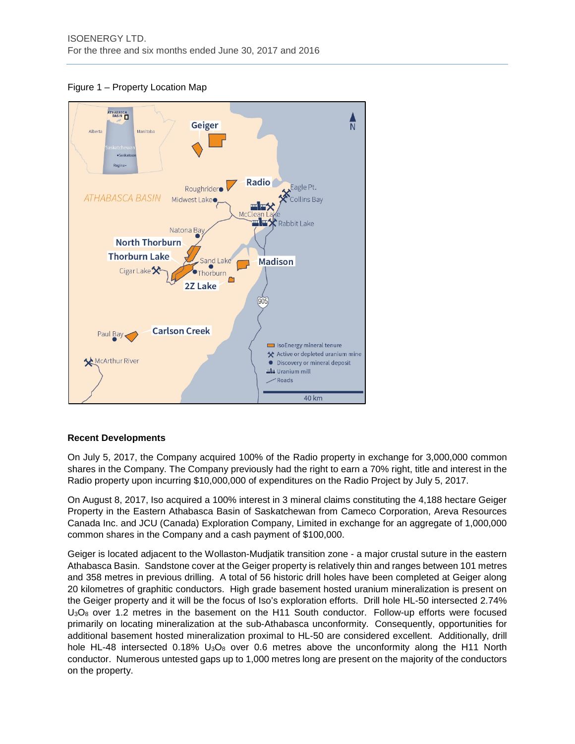Figure 1 – Property Location Map



# **Recent Developments**

On July 5, 2017, the Company acquired 100% of the Radio property in exchange for 3,000,000 common shares in the Company. The Company previously had the right to earn a 70% right, title and interest in the Radio property upon incurring \$10,000,000 of expenditures on the Radio Project by July 5, 2017.

On August 8, 2017, Iso acquired a 100% interest in 3 mineral claims constituting the 4,188 hectare Geiger Property in the Eastern Athabasca Basin of Saskatchewan from Cameco Corporation, Areva Resources Canada Inc. and JCU (Canada) Exploration Company, Limited in exchange for an aggregate of 1,000,000 common shares in the Company and a cash payment of \$100,000.

Geiger is located adjacent to the Wollaston-Mudjatik transition zone - a major crustal suture in the eastern Athabasca Basin. Sandstone cover at the Geiger property is relatively thin and ranges between 101 metres and 358 metres in previous drilling. A total of 56 historic drill holes have been completed at Geiger along 20 kilometres of graphitic conductors. High grade basement hosted uranium mineralization is present on the Geiger property and it will be the focus of Iso's exploration efforts. Drill hole HL-50 intersected 2.74% U3O8 over 1.2 metres in the basement on the H11 South conductor. Follow-up efforts were focused primarily on locating mineralization at the sub-Athabasca unconformity. Consequently, opportunities for additional basement hosted mineralization proximal to HL-50 are considered excellent. Additionally, drill hole HL-48 intersected 0.18% U<sub>3</sub>O<sub>8</sub> over 0.6 metres above the unconformity along the H11 North conductor. Numerous untested gaps up to 1,000 metres long are present on the majority of the conductors on the property.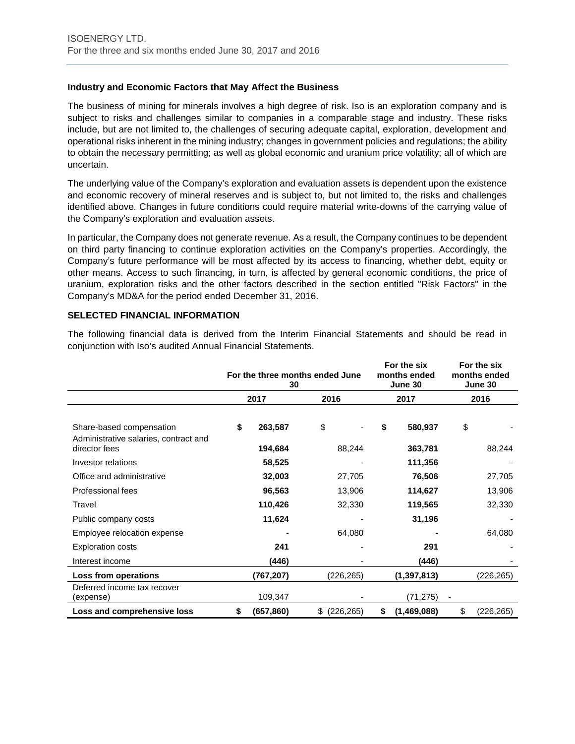# **Industry and Economic Factors that May Affect the Business**

The business of mining for minerals involves a high degree of risk. Iso is an exploration company and is subject to risks and challenges similar to companies in a comparable stage and industry. These risks include, but are not limited to, the challenges of securing adequate capital, exploration, development and operational risks inherent in the mining industry; changes in government policies and regulations; the ability to obtain the necessary permitting; as well as global economic and uranium price volatility; all of which are uncertain.

The underlying value of the Company's exploration and evaluation assets is dependent upon the existence and economic recovery of mineral reserves and is subject to, but not limited to, the risks and challenges identified above. Changes in future conditions could require material write-downs of the carrying value of the Company's exploration and evaluation assets.

In particular, the Company does not generate revenue. As a result, the Company continues to be dependent on third party financing to continue exploration activities on the Company's properties. Accordingly, the Company's future performance will be most affected by its access to financing, whether debt, equity or other means. Access to such financing, in turn, is affected by general economic conditions, the price of uranium, exploration risks and the other factors described in the section entitled "Risk Factors" in the Company's MD&A for the period ended December 31, 2016.

# **SELECTED FINANCIAL INFORMATION**

The following financial data is derived from the Interim Financial Statements and should be read in conjunction with Iso's audited Annual Financial Statements.

|                                                                   | 30               | For the three months ended June | For the six<br>months ended<br>June 30 |               | For the six<br>months ended<br>June 30 |            |
|-------------------------------------------------------------------|------------------|---------------------------------|----------------------------------------|---------------|----------------------------------------|------------|
|                                                                   | 2017             | 2016                            |                                        | 2017          |                                        | 2016       |
| Share-based compensation<br>Administrative salaries, contract and | \$<br>263,587    | \$                              | \$                                     | 580,937       | \$                                     |            |
| director fees                                                     | 194,684          | 88,244                          |                                        | 363,781       |                                        | 88,244     |
| Investor relations                                                | 58,525           |                                 |                                        | 111,356       |                                        |            |
| Office and administrative                                         | 32,003           | 27,705                          |                                        | 76,506        |                                        | 27,705     |
| Professional fees                                                 | 96,563           | 13,906                          |                                        | 114,627       |                                        | 13,906     |
| Travel                                                            | 110,426          | 32,330                          |                                        | 119,565       |                                        | 32,330     |
| Public company costs                                              | 11,624           |                                 |                                        | 31,196        |                                        |            |
| Employee relocation expense                                       |                  | 64,080                          |                                        |               |                                        | 64,080     |
| <b>Exploration costs</b>                                          | 241              |                                 |                                        | 291           |                                        |            |
| Interest income                                                   | (446)            |                                 |                                        | (446)         |                                        |            |
| Loss from operations                                              | (767,207)        | (226,265)                       |                                        | (1, 397, 813) |                                        | (226,265)  |
| Deferred income tax recover<br>(expense)                          | 109,347          |                                 |                                        | (71, 275)     |                                        |            |
| Loss and comprehensive loss                                       | \$<br>(657, 860) | \$<br>(226, 265)                | \$                                     | (1,469,088)   | \$                                     | (226, 265) |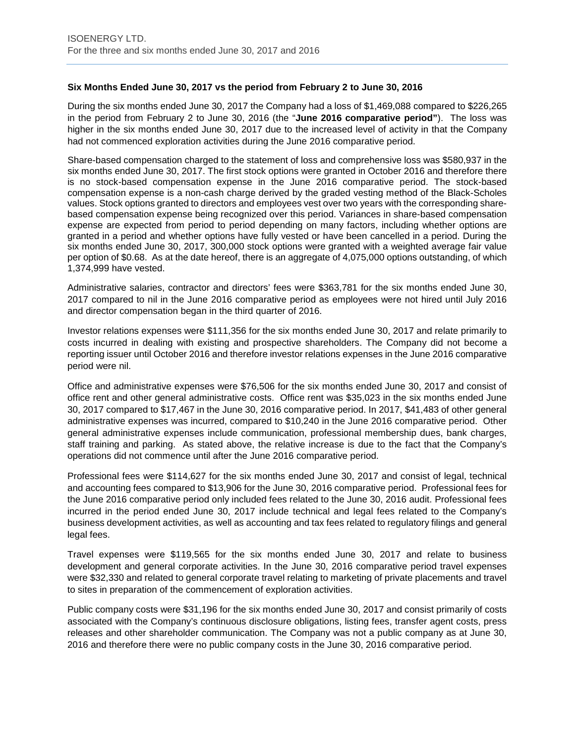# **Six Months Ended June 30, 2017 vs the period from February 2 to June 30, 2016**

During the six months ended June 30, 2017 the Company had a loss of \$1,469,088 compared to \$226,265 in the period from February 2 to June 30, 2016 (the "**June 2016 comparative period"**). The loss was higher in the six months ended June 30, 2017 due to the increased level of activity in that the Company had not commenced exploration activities during the June 2016 comparative period.

Share-based compensation charged to the statement of loss and comprehensive loss was \$580,937 in the six months ended June 30, 2017. The first stock options were granted in October 2016 and therefore there is no stock-based compensation expense in the June 2016 comparative period. The stock-based compensation expense is a non-cash charge derived by the graded vesting method of the Black-Scholes values. Stock options granted to directors and employees vest over two years with the corresponding sharebased compensation expense being recognized over this period. Variances in share-based compensation expense are expected from period to period depending on many factors, including whether options are granted in a period and whether options have fully vested or have been cancelled in a period. During the six months ended June 30, 2017, 300,000 stock options were granted with a weighted average fair value per option of \$0.68. As at the date hereof, there is an aggregate of 4,075,000 options outstanding, of which 1,374,999 have vested.

Administrative salaries, contractor and directors' fees were \$363,781 for the six months ended June 30, 2017 compared to nil in the June 2016 comparative period as employees were not hired until July 2016 and director compensation began in the third quarter of 2016.

Investor relations expenses were \$111,356 for the six months ended June 30, 2017 and relate primarily to costs incurred in dealing with existing and prospective shareholders. The Company did not become a reporting issuer until October 2016 and therefore investor relations expenses in the June 2016 comparative period were nil.

Office and administrative expenses were \$76,506 for the six months ended June 30, 2017 and consist of office rent and other general administrative costs. Office rent was \$35,023 in the six months ended June 30, 2017 compared to \$17,467 in the June 30, 2016 comparative period. In 2017, \$41,483 of other general administrative expenses was incurred, compared to \$10,240 in the June 2016 comparative period. Other general administrative expenses include communication, professional membership dues, bank charges, staff training and parking. As stated above, the relative increase is due to the fact that the Company's operations did not commence until after the June 2016 comparative period.

Professional fees were \$114,627 for the six months ended June 30, 2017 and consist of legal, technical and accounting fees compared to \$13,906 for the June 30, 2016 comparative period. Professional fees for the June 2016 comparative period only included fees related to the June 30, 2016 audit. Professional fees incurred in the period ended June 30, 2017 include technical and legal fees related to the Company's business development activities, as well as accounting and tax fees related to regulatory filings and general legal fees.

Travel expenses were \$119,565 for the six months ended June 30, 2017 and relate to business development and general corporate activities. In the June 30, 2016 comparative period travel expenses were \$32,330 and related to general corporate travel relating to marketing of private placements and travel to sites in preparation of the commencement of exploration activities.

Public company costs were \$31,196 for the six months ended June 30, 2017 and consist primarily of costs associated with the Company's continuous disclosure obligations, listing fees, transfer agent costs, press releases and other shareholder communication. The Company was not a public company as at June 30, 2016 and therefore there were no public company costs in the June 30, 2016 comparative period.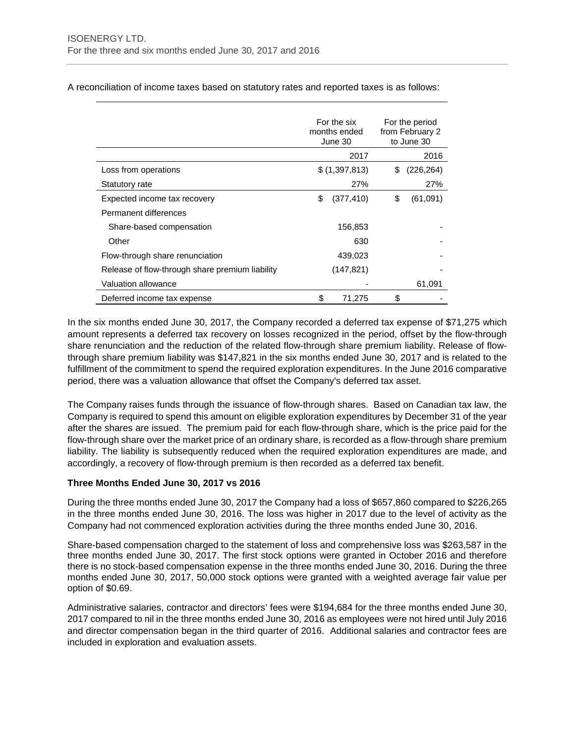For the six months ended June 30 For the period from February 2 to June 30 2017 2016 Loss from operations  $$ (1,397,813)$   $$ (226,264)$ Statutory rate 27% 27% 27% Expected income tax recovery  $\qquad \qquad \text{S} \quad (377,410) \qquad \text{S} \quad (61,091)$ Permanent differences Share-based compensation 156,853 Other **630** - **630** - **630** Flow-through share renunciation 439,023 Release of flow-through share premium liability (147,821) Valuation allowance and the state of the state of the state of the state of the state of the state of the state of the state of the state of the state of the state of the state of the state of the state of the state of the Deferred income tax expense  $\frac{1}{2}$   $\frac{1}{275}$   $\frac{1}{3}$ 

A reconciliation of income taxes based on statutory rates and reported taxes is as follows:

In the six months ended June 30, 2017, the Company recorded a deferred tax expense of \$71,275 which amount represents a deferred tax recovery on losses recognized in the period, offset by the flow-through share renunciation and the reduction of the related flow-through share premium liability. Release of flowthrough share premium liability was \$147,821 in the six months ended June 30, 2017 and is related to the fulfillment of the commitment to spend the required exploration expenditures. In the June 2016 comparative period, there was a valuation allowance that offset the Company's deferred tax asset.

The Company raises funds through the issuance of flow-through shares. Based on Canadian tax law, the Company is required to spend this amount on eligible exploration expenditures by December 31 of the year after the shares are issued. The premium paid for each flow-through share, which is the price paid for the flow-through share over the market price of an ordinary share, is recorded as a flow-through share premium liability. The liability is subsequently reduced when the required exploration expenditures are made, and accordingly, a recovery of flow-through premium is then recorded as a deferred tax benefit.

# **Three Months Ended June 30, 2017 vs 2016**

During the three months ended June 30, 2017 the Company had a loss of \$657,860 compared to \$226,265 in the three months ended June 30, 2016. The loss was higher in 2017 due to the level of activity as the Company had not commenced exploration activities during the three months ended June 30, 2016.

Share-based compensation charged to the statement of loss and comprehensive loss was \$263,587 in the three months ended June 30, 2017. The first stock options were granted in October 2016 and therefore there is no stock-based compensation expense in the three months ended June 30, 2016. During the three months ended June 30, 2017, 50,000 stock options were granted with a weighted average fair value per option of \$0.69.

Administrative salaries, contractor and directors' fees were \$194,684 for the three months ended June 30, 2017 compared to nil in the three months ended June 30, 2016 as employees were not hired until July 2016 and director compensation began in the third quarter of 2016. Additional salaries and contractor fees are included in exploration and evaluation assets.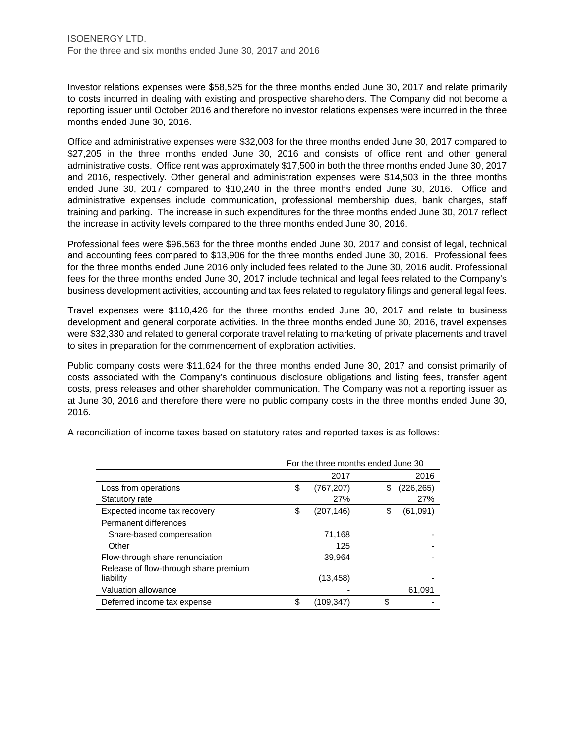Investor relations expenses were \$58,525 for the three months ended June 30, 2017 and relate primarily to costs incurred in dealing with existing and prospective shareholders. The Company did not become a reporting issuer until October 2016 and therefore no investor relations expenses were incurred in the three months ended June 30, 2016.

Office and administrative expenses were \$32,003 for the three months ended June 30, 2017 compared to \$27,205 in the three months ended June 30, 2016 and consists of office rent and other general administrative costs. Office rent was approximately \$17,500 in both the three months ended June 30, 2017 and 2016, respectively. Other general and administration expenses were \$14,503 in the three months ended June 30, 2017 compared to \$10,240 in the three months ended June 30, 2016. Office and administrative expenses include communication, professional membership dues, bank charges, staff training and parking. The increase in such expenditures for the three months ended June 30, 2017 reflect the increase in activity levels compared to the three months ended June 30, 2016.

Professional fees were \$96,563 for the three months ended June 30, 2017 and consist of legal, technical and accounting fees compared to \$13,906 for the three months ended June 30, 2016. Professional fees for the three months ended June 2016 only included fees related to the June 30, 2016 audit. Professional fees for the three months ended June 30, 2017 include technical and legal fees related to the Company's business development activities, accounting and tax fees related to regulatory filings and general legal fees.

Travel expenses were \$110,426 for the three months ended June 30, 2017 and relate to business development and general corporate activities. In the three months ended June 30, 2016, travel expenses were \$32,330 and related to general corporate travel relating to marketing of private placements and travel to sites in preparation for the commencement of exploration activities.

Public company costs were \$11,624 for the three months ended June 30, 2017 and consist primarily of costs associated with the Company's continuous disclosure obligations and listing fees, transfer agent costs, press releases and other shareholder communication. The Company was not a reporting issuer as at June 30, 2016 and therefore there were no public company costs in the three months ended June 30, 2016.

|                                       | For the three months ended June 30 |            |    |            |  |  |  |  |
|---------------------------------------|------------------------------------|------------|----|------------|--|--|--|--|
|                                       |                                    | 2017       |    | 2016       |  |  |  |  |
| Loss from operations                  | \$                                 | (767, 207) | \$ | (226, 265) |  |  |  |  |
| Statutory rate                        |                                    | 27%        |    | 27%        |  |  |  |  |
| Expected income tax recovery          | \$                                 | (207, 146) | \$ | (61,091)   |  |  |  |  |
| Permanent differences                 |                                    |            |    |            |  |  |  |  |
| Share-based compensation              |                                    | 71,168     |    |            |  |  |  |  |
| Other                                 |                                    | 125        |    |            |  |  |  |  |
| Flow-through share renunciation       |                                    | 39,964     |    |            |  |  |  |  |
| Release of flow-through share premium |                                    |            |    |            |  |  |  |  |
| liability                             |                                    | (13, 458)  |    |            |  |  |  |  |
| Valuation allowance                   |                                    |            |    | 61,091     |  |  |  |  |
| Deferred income tax expense           | \$                                 | (109.347)  | \$ |            |  |  |  |  |

A reconciliation of income taxes based on statutory rates and reported taxes is as follows: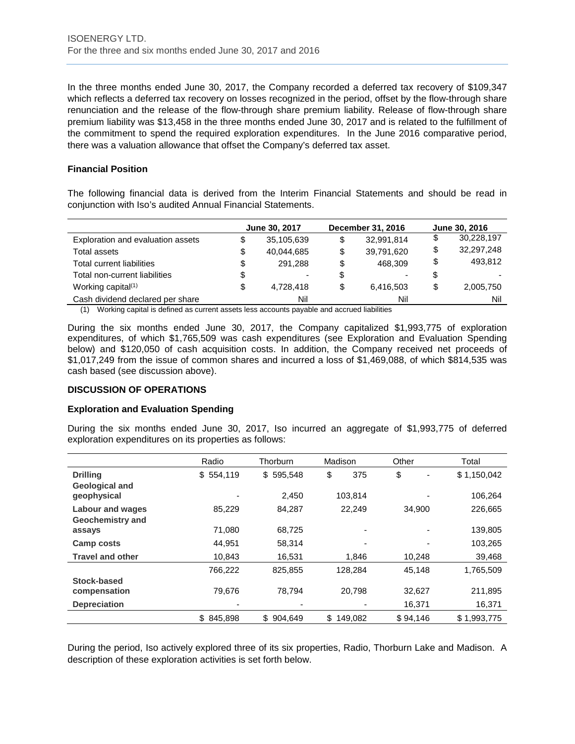In the three months ended June 30, 2017, the Company recorded a deferred tax recovery of \$109,347 which reflects a deferred tax recovery on losses recognized in the period, offset by the flow-through share renunciation and the release of the flow-through share premium liability. Release of flow-through share premium liability was \$13,458 in the three months ended June 30, 2017 and is related to the fulfillment of the commitment to spend the required exploration expenditures. In the June 2016 comparative period, there was a valuation allowance that offset the Company's deferred tax asset.

# **Financial Position**

The following financial data is derived from the Interim Financial Statements and should be read in conjunction with Iso's audited Annual Financial Statements.

|                                   | June 30, 2017 |            | <b>December 31, 2016</b> | June 30, 2016 |   |            |
|-----------------------------------|---------------|------------|--------------------------|---------------|---|------------|
| Exploration and evaluation assets | S             | 35.105.639 | \$                       | 32,991,814    |   | 30,228,197 |
| <b>Total assets</b>               | \$            | 40,044,685 | \$                       | 39,791,620    | S | 32,297,248 |
| Total current liabilities         | \$            | 291.288    | \$                       | 468.309       | S | 493.812    |
| Total non-current liabilities     | \$            |            | S                        |               |   |            |
| Working capital <sup>(1)</sup>    | \$            | 4.728.418  | \$                       | 6,416,503     |   | 2,005,750  |
| Cash dividend declared per share  |               | Nil        |                          | Nil           |   | Nil        |

(1) Working capital is defined as current assets less accounts payable and accrued liabilities

During the six months ended June 30, 2017, the Company capitalized \$1,993,775 of exploration expenditures, of which \$1,765,509 was cash expenditures (see Exploration and Evaluation Spending below) and \$120,050 of cash acquisition costs. In addition, the Company received net proceeds of \$1,017,249 from the issue of common shares and incurred a loss of \$1,469,088, of which \$814,535 was cash based (see discussion above).

# **DISCUSSION OF OPERATIONS**

# **Exploration and Evaluation Spending**

During the six months ended June 30, 2017, Iso incurred an aggregate of \$1,993,775 of deferred exploration expenditures on its properties as follows:

|                                      | Radio     | Thorburn      | Madison       | Other    | Total       |
|--------------------------------------|-----------|---------------|---------------|----------|-------------|
| <b>Drilling</b>                      | \$554,119 | \$595,548     | \$<br>375     | \$       | \$1,150,042 |
| <b>Geological and</b><br>geophysical |           | 2,450         | 103,814       |          | 106,264     |
| <b>Labour and wages</b>              | 85,229    | 84,287        | 22,249        | 34.900   | 226,665     |
| <b>Geochemistry and</b>              |           |               |               |          |             |
| assays                               | 71,080    | 68,725        |               |          | 139,805     |
| Camp costs                           | 44.951    | 58,314        |               |          | 103,265     |
| <b>Travel and other</b>              | 10.843    | 16,531        | 1.846         | 10,248   | 39,468      |
|                                      | 766,222   | 825,855       | 128,284       | 45,148   | 1,765,509   |
| Stock-based                          |           |               |               |          |             |
| compensation                         | 79.676    | 78,794        | 20,798        | 32,627   | 211,895     |
| <b>Depreciation</b>                  |           |               |               | 16,371   | 16,371      |
|                                      | \$845.898 | \$<br>904.649 | \$<br>149.082 | \$94.146 | \$1.993.775 |

During the period, Iso actively explored three of its six properties, Radio, Thorburn Lake and Madison. A description of these exploration activities is set forth below.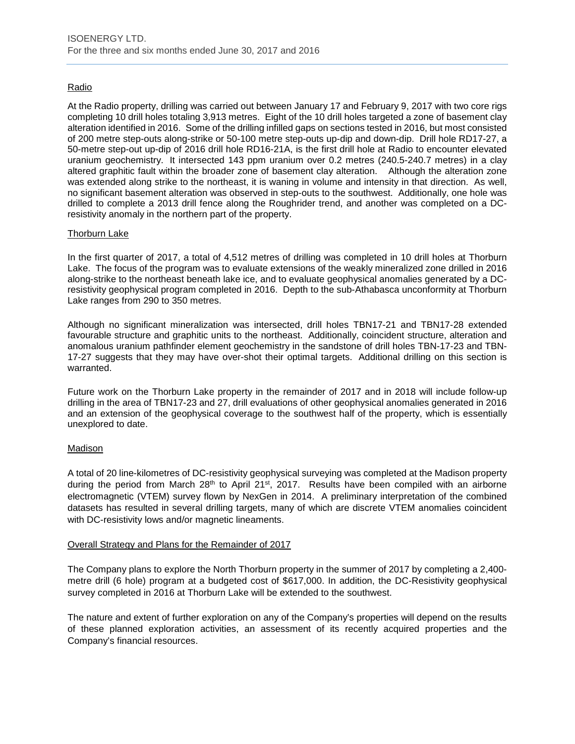# **Radio**

At the Radio property, drilling was carried out between January 17 and February 9, 2017 with two core rigs completing 10 drill holes totaling 3,913 metres. Eight of the 10 drill holes targeted a zone of basement clay alteration identified in 2016. Some of the drilling infilled gaps on sections tested in 2016, but most consisted of 200 metre step-outs along-strike or 50-100 metre step-outs up-dip and down-dip. Drill hole RD17-27, a 50-metre step-out up-dip of 2016 drill hole RD16-21A, is the first drill hole at Radio to encounter elevated uranium geochemistry. It intersected 143 ppm uranium over 0.2 metres (240.5-240.7 metres) in a clay altered graphitic fault within the broader zone of basement clay alteration. Although the alteration zone was extended along strike to the northeast, it is waning in volume and intensity in that direction. As well, no significant basement alteration was observed in step-outs to the southwest. Additionally, one hole was drilled to complete a 2013 drill fence along the Roughrider trend, and another was completed on a DCresistivity anomaly in the northern part of the property.

# Thorburn Lake

In the first quarter of 2017, a total of 4,512 metres of drilling was completed in 10 drill holes at Thorburn Lake. The focus of the program was to evaluate extensions of the weakly mineralized zone drilled in 2016 along-strike to the northeast beneath lake ice, and to evaluate geophysical anomalies generated by a DCresistivity geophysical program completed in 2016. Depth to the sub-Athabasca unconformity at Thorburn Lake ranges from 290 to 350 metres.

Although no significant mineralization was intersected, drill holes TBN17-21 and TBN17-28 extended favourable structure and graphitic units to the northeast. Additionally, coincident structure, alteration and anomalous uranium pathfinder element geochemistry in the sandstone of drill holes TBN-17-23 and TBN-17-27 suggests that they may have over-shot their optimal targets. Additional drilling on this section is warranted.

Future work on the Thorburn Lake property in the remainder of 2017 and in 2018 will include follow-up drilling in the area of TBN17-23 and 27, drill evaluations of other geophysical anomalies generated in 2016 and an extension of the geophysical coverage to the southwest half of the property, which is essentially unexplored to date.

# Madison

A total of 20 line-kilometres of DC-resistivity geophysical surveying was completed at the Madison property during the period from March  $28<sup>th</sup>$  to April 21<sup>st</sup>, 2017. Results have been compiled with an airborne electromagnetic (VTEM) survey flown by NexGen in 2014. A preliminary interpretation of the combined datasets has resulted in several drilling targets, many of which are discrete VTEM anomalies coincident with DC-resistivity lows and/or magnetic lineaments.

# Overall Strategy and Plans for the Remainder of 2017

The Company plans to explore the North Thorburn property in the summer of 2017 by completing a 2,400 metre drill (6 hole) program at a budgeted cost of \$617,000. In addition, the DC-Resistivity geophysical survey completed in 2016 at Thorburn Lake will be extended to the southwest.

The nature and extent of further exploration on any of the Company's properties will depend on the results of these planned exploration activities, an assessment of its recently acquired properties and the Company's financial resources.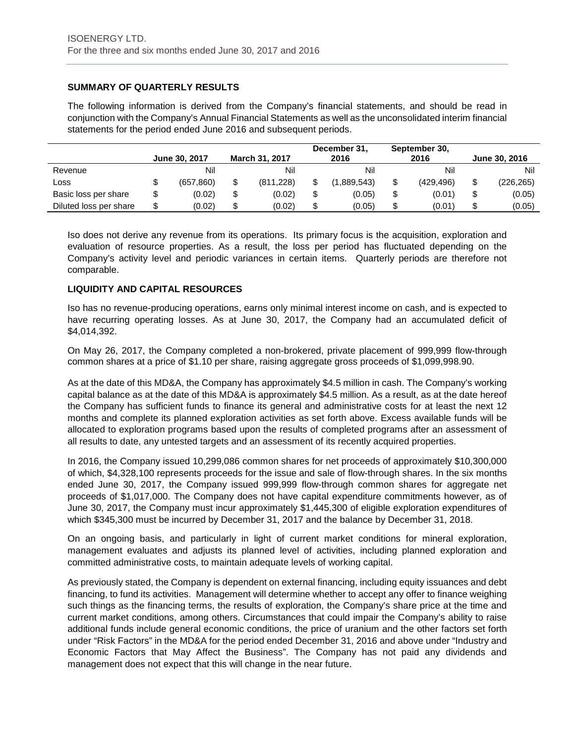# **SUMMARY OF QUARTERLY RESULTS**

The following information is derived from the Company's financial statements, and should be read in conjunction with the Company's Annual Financial Statements as well as the unconsolidated interim financial statements for the period ended June 2016 and subsequent periods.

|                        |    | June 30, 2017 | <b>March 31, 2017</b> | December 31,<br>2016 | September 30,<br>2016 | June 30, 2016 |
|------------------------|----|---------------|-----------------------|----------------------|-----------------------|---------------|
| Revenue                |    | Nil           | Nil                   | Nil                  | Nil                   | Nil           |
| LOSS                   | Φ  | (657.860)     | (811, 228)            | (1.889.543)          | (429.496)             | (226, 265)    |
| Basic loss per share   |    | (0.02)        | (0.02)                | (0.05)               | (0.01)                | (0.05)        |
| Diluted loss per share | \$ | (0.02)        | (0.02)                | (0.05)               | (0.01)                | (0.05)        |

Iso does not derive any revenue from its operations. Its primary focus is the acquisition, exploration and evaluation of resource properties. As a result, the loss per period has fluctuated depending on the Company's activity level and periodic variances in certain items. Quarterly periods are therefore not comparable.

# **LIQUIDITY AND CAPITAL RESOURCES**

Iso has no revenue-producing operations, earns only minimal interest income on cash, and is expected to have recurring operating losses. As at June 30, 2017, the Company had an accumulated deficit of \$4,014,392.

On May 26, 2017, the Company completed a non-brokered, private placement of 999,999 flow-through common shares at a price of \$1.10 per share, raising aggregate gross proceeds of \$1,099,998.90.

As at the date of this MD&A, the Company has approximately \$4.5 million in cash. The Company's working capital balance as at the date of this MD&A is approximately \$4.5 million. As a result, as at the date hereof the Company has sufficient funds to finance its general and administrative costs for at least the next 12 months and complete its planned exploration activities as set forth above. Excess available funds will be allocated to exploration programs based upon the results of completed programs after an assessment of all results to date, any untested targets and an assessment of its recently acquired properties.

In 2016, the Company issued 10,299,086 common shares for net proceeds of approximately \$10,300,000 of which, \$4,328,100 represents proceeds for the issue and sale of flow-through shares. In the six months ended June 30, 2017, the Company issued 999,999 flow-through common shares for aggregate net proceeds of \$1,017,000. The Company does not have capital expenditure commitments however, as of June 30, 2017, the Company must incur approximately \$1,445,300 of eligible exploration expenditures of which \$345,300 must be incurred by December 31, 2017 and the balance by December 31, 2018.

On an ongoing basis, and particularly in light of current market conditions for mineral exploration, management evaluates and adjusts its planned level of activities, including planned exploration and committed administrative costs, to maintain adequate levels of working capital.

As previously stated, the Company is dependent on external financing, including equity issuances and debt financing, to fund its activities. Management will determine whether to accept any offer to finance weighing such things as the financing terms, the results of exploration, the Company's share price at the time and current market conditions, among others. Circumstances that could impair the Company's ability to raise additional funds include general economic conditions, the price of uranium and the other factors set forth under "Risk Factors" in the MD&A for the period ended December 31, 2016 and above under "Industry and Economic Factors that May Affect the Business". The Company has not paid any dividends and management does not expect that this will change in the near future.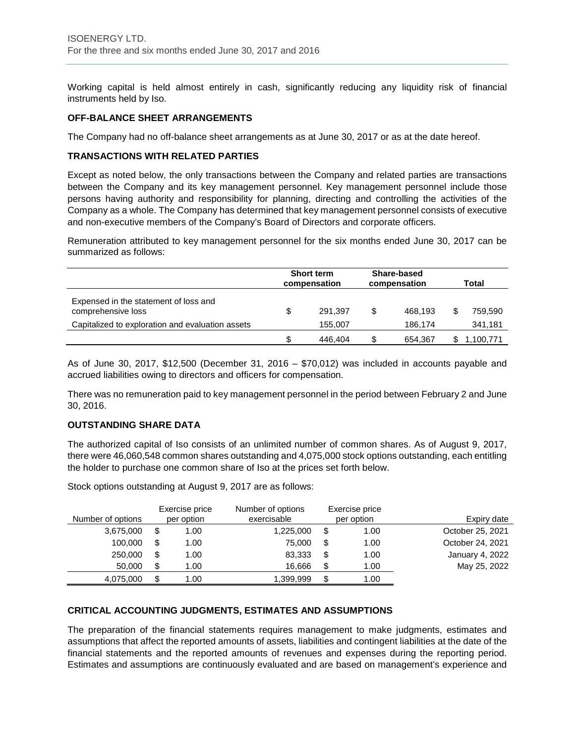Working capital is held almost entirely in cash, significantly reducing any liquidity risk of financial instruments held by Iso.

# **OFF-BALANCE SHEET ARRANGEMENTS**

The Company had no off-balance sheet arrangements as at June 30, 2017 or as at the date hereof.

# **TRANSACTIONS WITH RELATED PARTIES**

Except as noted below, the only transactions between the Company and related parties are transactions between the Company and its key management personnel. Key management personnel include those persons having authority and responsibility for planning, directing and controlling the activities of the Company as a whole. The Company has determined that key management personnel consists of executive and non-executive members of the Company's Board of Directors and corporate officers.

Remuneration attributed to key management personnel for the six months ended June 30, 2017 can be summarized as follows:

|                                                             | <b>Short term</b><br>compensation | <b>Share-based</b><br>compensation | Total |           |
|-------------------------------------------------------------|-----------------------------------|------------------------------------|-------|-----------|
| Expensed in the statement of loss and<br>comprehensive loss | \$<br>291.397                     | \$<br>468.193                      |       | 759.590   |
| Capitalized to exploration and evaluation assets            | 155,007                           | 186.174                            |       | 341,181   |
|                                                             | 446.404                           | \$<br>654.367                      |       | 1,100,771 |

As of June 30, 2017, \$12,500 (December 31, 2016 – \$70,012) was included in accounts payable and accrued liabilities owing to directors and officers for compensation.

There was no remuneration paid to key management personnel in the period between February 2 and June 30, 2016.

# **OUTSTANDING SHARE DATA**

The authorized capital of Iso consists of an unlimited number of common shares. As of August 9, 2017, there were 46,060,548 common shares outstanding and 4,075,000 stock options outstanding, each entitling the holder to purchase one common share of Iso at the prices set forth below.

Number of options Exercise price per option Number of options exercisable Exercise price per option Expiry date 3,675,000 \$ 1.00 1,225,000 \$ 1.00 October 25, 2021 100,000 \$ 1.00 75,000 \$ 1.00 October 24, 2021 250,000 \$ 1.00 83,333 \$ 1.00 January 4, 2022 50,000 \$ 1.00 16,666 \$ 1.00 May 25, 2022 4,075,000 \$ 1.00 1,399,999 \$ 1.00

Stock options outstanding at August 9, 2017 are as follows:

# **CRITICAL ACCOUNTING JUDGMENTS, ESTIMATES AND ASSUMPTIONS**

The preparation of the financial statements requires management to make judgments, estimates and assumptions that affect the reported amounts of assets, liabilities and contingent liabilities at the date of the financial statements and the reported amounts of revenues and expenses during the reporting period. Estimates and assumptions are continuously evaluated and are based on management's experience and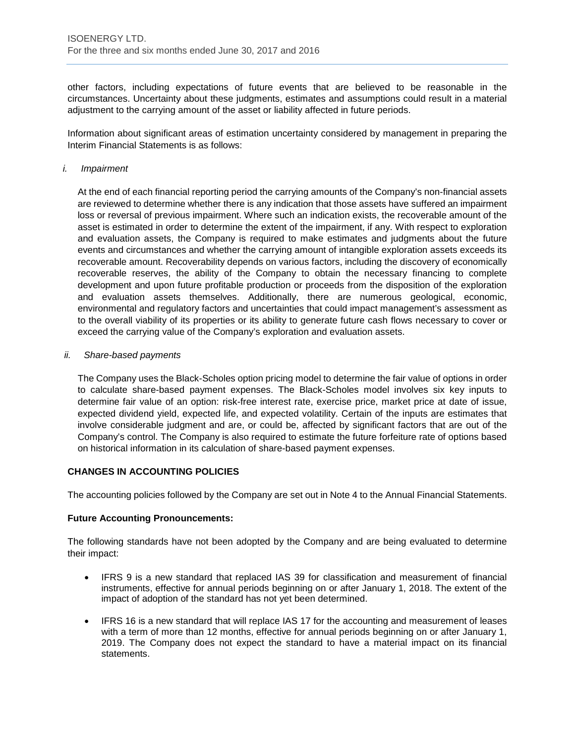other factors, including expectations of future events that are believed to be reasonable in the circumstances. Uncertainty about these judgments, estimates and assumptions could result in a material adjustment to the carrying amount of the asset or liability affected in future periods.

Information about significant areas of estimation uncertainty considered by management in preparing the Interim Financial Statements is as follows:

#### *i. Impairment*

At the end of each financial reporting period the carrying amounts of the Company's non-financial assets are reviewed to determine whether there is any indication that those assets have suffered an impairment loss or reversal of previous impairment. Where such an indication exists, the recoverable amount of the asset is estimated in order to determine the extent of the impairment, if any. With respect to exploration and evaluation assets, the Company is required to make estimates and judgments about the future events and circumstances and whether the carrying amount of intangible exploration assets exceeds its recoverable amount. Recoverability depends on various factors, including the discovery of economically recoverable reserves, the ability of the Company to obtain the necessary financing to complete development and upon future profitable production or proceeds from the disposition of the exploration and evaluation assets themselves. Additionally, there are numerous geological, economic, environmental and regulatory factors and uncertainties that could impact management's assessment as to the overall viability of its properties or its ability to generate future cash flows necessary to cover or exceed the carrying value of the Company's exploration and evaluation assets.

#### *ii. Share-based payments*

The Company uses the Black-Scholes option pricing model to determine the fair value of options in order to calculate share-based payment expenses. The Black-Scholes model involves six key inputs to determine fair value of an option: risk-free interest rate, exercise price, market price at date of issue, expected dividend yield, expected life, and expected volatility. Certain of the inputs are estimates that involve considerable judgment and are, or could be, affected by significant factors that are out of the Company's control. The Company is also required to estimate the future forfeiture rate of options based on historical information in its calculation of share-based payment expenses.

# **CHANGES IN ACCOUNTING POLICIES**

The accounting policies followed by the Company are set out in Note 4 to the Annual Financial Statements.

# **Future Accounting Pronouncements:**

The following standards have not been adopted by the Company and are being evaluated to determine their impact:

- IFRS 9 is a new standard that replaced IAS 39 for classification and measurement of financial instruments, effective for annual periods beginning on or after January 1, 2018. The extent of the impact of adoption of the standard has not yet been determined.
- IFRS 16 is a new standard that will replace IAS 17 for the accounting and measurement of leases with a term of more than 12 months, effective for annual periods beginning on or after January 1, 2019. The Company does not expect the standard to have a material impact on its financial statements.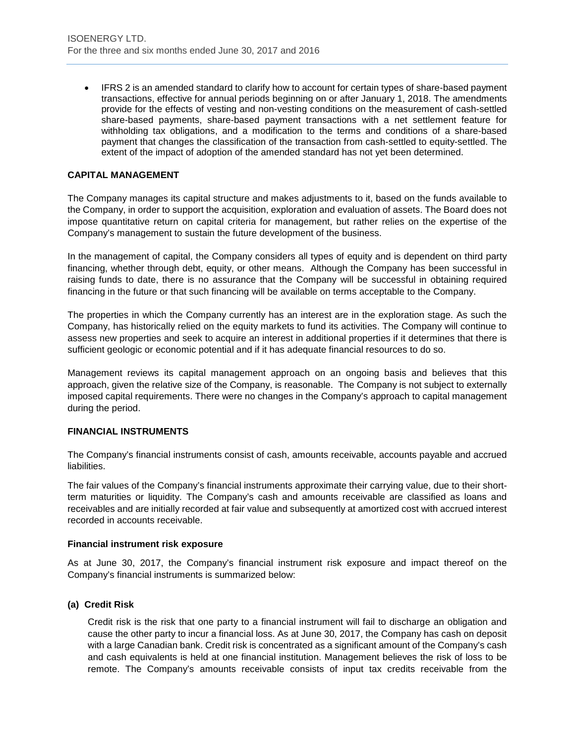• IFRS 2 is an amended standard to clarify how to account for certain types of share-based payment transactions, effective for annual periods beginning on or after January 1, 2018. The amendments provide for the effects of vesting and non-vesting conditions on the measurement of cash-settled share-based payments, share-based payment transactions with a net settlement feature for withholding tax obligations, and a modification to the terms and conditions of a share-based payment that changes the classification of the transaction from cash-settled to equity-settled. The extent of the impact of adoption of the amended standard has not yet been determined.

# **CAPITAL MANAGEMENT**

The Company manages its capital structure and makes adjustments to it, based on the funds available to the Company, in order to support the acquisition, exploration and evaluation of assets. The Board does not impose quantitative return on capital criteria for management, but rather relies on the expertise of the Company's management to sustain the future development of the business.

In the management of capital, the Company considers all types of equity and is dependent on third party financing, whether through debt, equity, or other means. Although the Company has been successful in raising funds to date, there is no assurance that the Company will be successful in obtaining required financing in the future or that such financing will be available on terms acceptable to the Company.

The properties in which the Company currently has an interest are in the exploration stage. As such the Company, has historically relied on the equity markets to fund its activities. The Company will continue to assess new properties and seek to acquire an interest in additional properties if it determines that there is sufficient geologic or economic potential and if it has adequate financial resources to do so.

Management reviews its capital management approach on an ongoing basis and believes that this approach, given the relative size of the Company, is reasonable. The Company is not subject to externally imposed capital requirements. There were no changes in the Company's approach to capital management during the period.

# **FINANCIAL INSTRUMENTS**

The Company's financial instruments consist of cash, amounts receivable, accounts payable and accrued liabilities.

The fair values of the Company's financial instruments approximate their carrying value, due to their shortterm maturities or liquidity. The Company's cash and amounts receivable are classified as loans and receivables and are initially recorded at fair value and subsequently at amortized cost with accrued interest recorded in accounts receivable.

# **Financial instrument risk exposure**

As at June 30, 2017, the Company's financial instrument risk exposure and impact thereof on the Company's financial instruments is summarized below:

# **(a) Credit Risk**

Credit risk is the risk that one party to a financial instrument will fail to discharge an obligation and cause the other party to incur a financial loss. As at June 30, 2017, the Company has cash on deposit with a large Canadian bank. Credit risk is concentrated as a significant amount of the Company's cash and cash equivalents is held at one financial institution. Management believes the risk of loss to be remote. The Company's amounts receivable consists of input tax credits receivable from the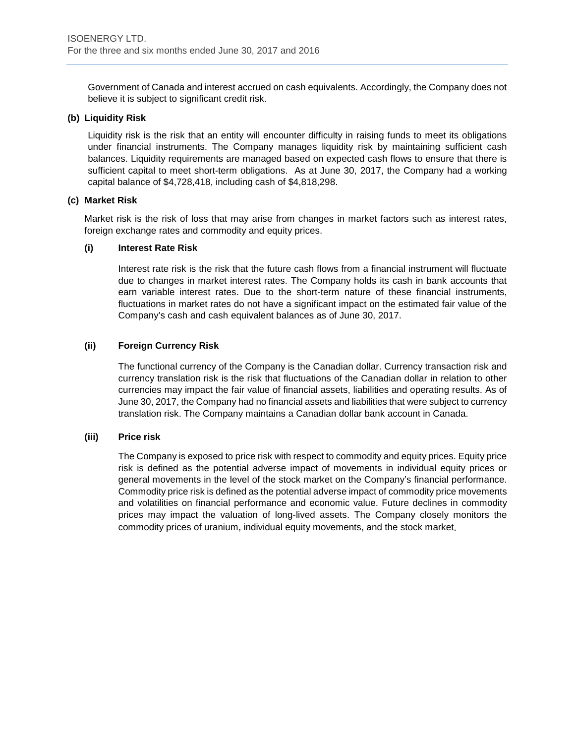Government of Canada and interest accrued on cash equivalents. Accordingly, the Company does not believe it is subject to significant credit risk.

# **(b) Liquidity Risk**

Liquidity risk is the risk that an entity will encounter difficulty in raising funds to meet its obligations under financial instruments. The Company manages liquidity risk by maintaining sufficient cash balances. Liquidity requirements are managed based on expected cash flows to ensure that there is sufficient capital to meet short-term obligations. As at June 30, 2017, the Company had a working capital balance of \$4,728,418, including cash of \$4,818,298.

# **(c) Market Risk**

Market risk is the risk of loss that may arise from changes in market factors such as interest rates, foreign exchange rates and commodity and equity prices.

# **(i) Interest Rate Risk**

Interest rate risk is the risk that the future cash flows from a financial instrument will fluctuate due to changes in market interest rates. The Company holds its cash in bank accounts that earn variable interest rates. Due to the short-term nature of these financial instruments, fluctuations in market rates do not have a significant impact on the estimated fair value of the Company's cash and cash equivalent balances as of June 30, 2017.

# **(ii) Foreign Currency Risk**

The functional currency of the Company is the Canadian dollar. Currency transaction risk and currency translation risk is the risk that fluctuations of the Canadian dollar in relation to other currencies may impact the fair value of financial assets, liabilities and operating results. As of June 30, 2017, the Company had no financial assets and liabilities that were subject to currency translation risk. The Company maintains a Canadian dollar bank account in Canada.

# **(iii) Price risk**

The Company is exposed to price risk with respect to commodity and equity prices. Equity price risk is defined as the potential adverse impact of movements in individual equity prices or general movements in the level of the stock market on the Company's financial performance. Commodity price risk is defined as the potential adverse impact of commodity price movements and volatilities on financial performance and economic value. Future declines in commodity prices may impact the valuation of long-lived assets. The Company closely monitors the commodity prices of uranium, individual equity movements, and the stock market.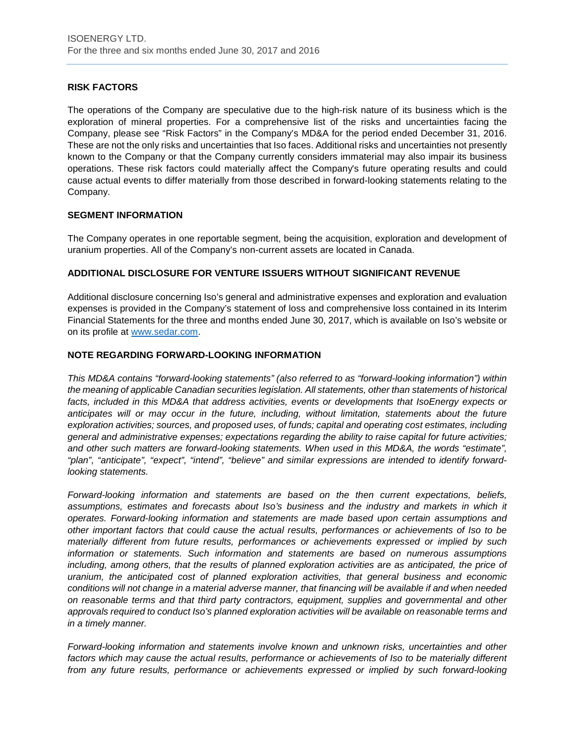# **RISK FACTORS**

The operations of the Company are speculative due to the high-risk nature of its business which is the exploration of mineral properties. For a comprehensive list of the risks and uncertainties facing the Company, please see "Risk Factors" in the Company's MD&A for the period ended December 31, 2016. These are not the only risks and uncertainties that Iso faces. Additional risks and uncertainties not presently known to the Company or that the Company currently considers immaterial may also impair its business operations. These risk factors could materially affect the Company's future operating results and could cause actual events to differ materially from those described in forward-looking statements relating to the Company.

# **SEGMENT INFORMATION**

The Company operates in one reportable segment, being the acquisition, exploration and development of uranium properties. All of the Company's non-current assets are located in Canada.

# **ADDITIONAL DISCLOSURE FOR VENTURE ISSUERS WITHOUT SIGNIFICANT REVENUE**

Additional disclosure concerning Iso's general and administrative expenses and exploration and evaluation expenses is provided in the Company's statement of loss and comprehensive loss contained in its Interim Financial Statements for the three and months ended June 30, 2017, which is available on Iso's website or on its profile at [www.sedar.com.](http://www.sedar.com/)

# **NOTE REGARDING FORWARD-LOOKING INFORMATION**

*This MD&A contains "forward-looking statements" (also referred to as "forward-looking information") within the meaning of applicable Canadian securities legislation. All statements, other than statements of historical*  facts, included in this MD&A that address activities, events or developments that IsoEnergy expects or *anticipates will or may occur in the future, including, without limitation, statements about the future exploration activities; sources, and proposed uses, of funds; capital and operating cost estimates, including general and administrative expenses; expectations regarding the ability to raise capital for future activities; and other such matters are forward-looking statements. When used in this MD&A, the words "estimate", "plan", "anticipate", "expect", "intend", "believe" and similar expressions are intended to identify forwardlooking statements.* 

*Forward-looking information and statements are based on the then current expectations, beliefs, assumptions, estimates and forecasts about Iso's business and the industry and markets in which it operates. Forward-looking information and statements are made based upon certain assumptions and other important factors that could cause the actual results, performances or achievements of Iso to be materially different from future results, performances or achievements expressed or implied by such information or statements. Such information and statements are based on numerous assumptions including, among others, that the results of planned exploration activities are as anticipated, the price of uranium, the anticipated cost of planned exploration activities, that general business and economic conditions will not change in a material adverse manner, that financing will be available if and when needed on reasonable terms and that third party contractors, equipment, supplies and governmental and other approvals required to conduct Iso's planned exploration activities will be available on reasonable terms and in a timely manner.* 

*Forward-looking information and statements involve known and unknown risks, uncertainties and other factors which may cause the actual results, performance or achievements of Iso to be materially different from any future results, performance or achievements expressed or implied by such forward-looking*